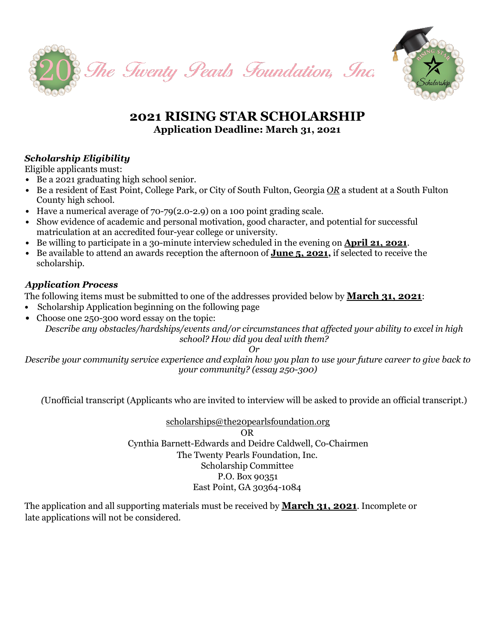



# **2021 RISING STAR SCHOLARSHIP Application Deadline: March 31, 2021**

# *Scholarship Eligibility*

Eligible applicants must:

- *•* Be a 2021 graduating high school senior.
- *•* Be a resident of East Point, College Park, or City of South Fulton, Georgia *OR* a student at a South Fulton County high school.
- *•* Have a numerical average of 70-79(2.0-2.9) on a 100 point grading scale.
- Show evidence of academic and personal motivation, good character, and potential for successful matriculation at an accredited four-year college or university.
- *•* Be willing to participate in a 30-minute interview scheduled in the evening on **April 21, 2021**.
- *•* Be available to attend an awards reception the afternoon of **June 5, 2021,** if selected to receive the scholarship.

# *Application Process*

The following items must be submitted to one of the addresses provided below by **March 31, 2021**:

- *•* Scholarship Application beginning on the following page
- Choose one 250-300 word essay on the topic: *Describe any obstacles/hardships/events and/or circumstances that affected your ability to excel in high school? How did you deal with them?*

*Or* 

*Describe your community service experience and explain how you plan to use your future career to give back to your community? (essay 250-300)*

*(*Unofficial transcript (Applicants who are invited to interview will be asked to provide an official transcript.)

[scholarships@the20pearlsfoundation.org](mailto:scholarships@the20pearlsfoundation.org) OR Cynthia Barnett-Edwards and Deidre Caldwell, Co-Chairmen The Twenty Pearls Foundation, Inc. Scholarship Committee P.O. Box 90351 East Point, GA 30364-1084

The application and all supporting materials must be received by **March 31, 2021**. Incomplete or late applications will not be considered.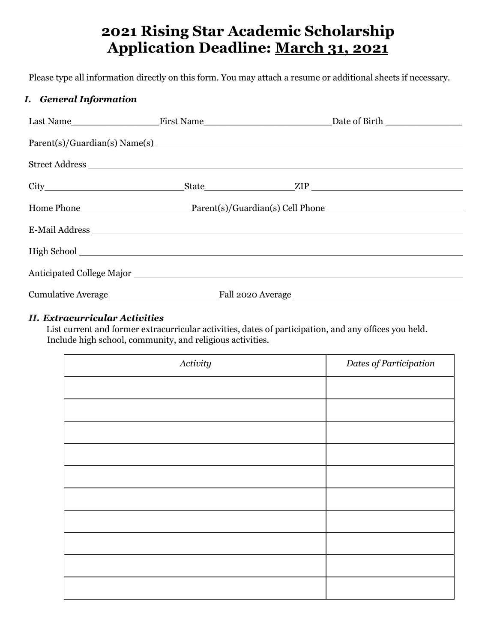# **2021 Rising Star Academic Scholarship Application Deadline: March 31, 2021**

Please type all information directly on this form. You may attach a resume or additional sheets if necessary.

# *I. General Information*

# *II. Extracurricular Activities*

List current and former extracurricular activities, dates of participation, and any offices you held. Include high school, community, and religious activities.

| Activity | Dates of Participation |
|----------|------------------------|
|          |                        |
|          |                        |
|          |                        |
|          |                        |
|          |                        |
|          |                        |
|          |                        |
|          |                        |
|          |                        |
|          |                        |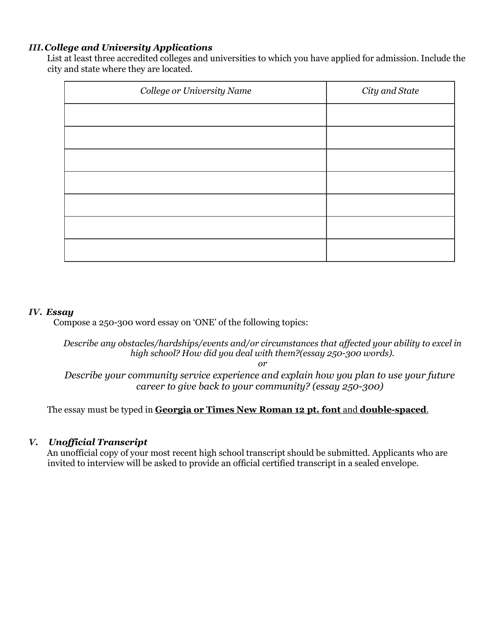#### *III.College and University Applications*

List at least three accredited colleges and universities to which you have applied for admission. Include the city and state where they are located.

| College or University Name | City and State |
|----------------------------|----------------|
|                            |                |
|                            |                |
|                            |                |
|                            |                |
|                            |                |
|                            |                |
|                            |                |

#### *IV. Essay*

Compose a 250-300 word essay on 'ONE' of the following topics:

*Describe any obstacles/hardships/events and/or circumstances that affected your ability to excel in high school? How did you deal with them?(essay 250-300 words).*

*or*

*Describe your community service experience and explain how you plan to use your future career to give back to your community? (essay 250-300)*

The essay must be typed in **Georgia or Times New Roman 12 pt. font** and **double-spaced**.

#### *V. Unofficial Transcript*

An unofficial copy of your most recent high school transcript should be submitted. Applicants who are invited to interview will be asked to provide an official certified transcript in a sealed envelope.